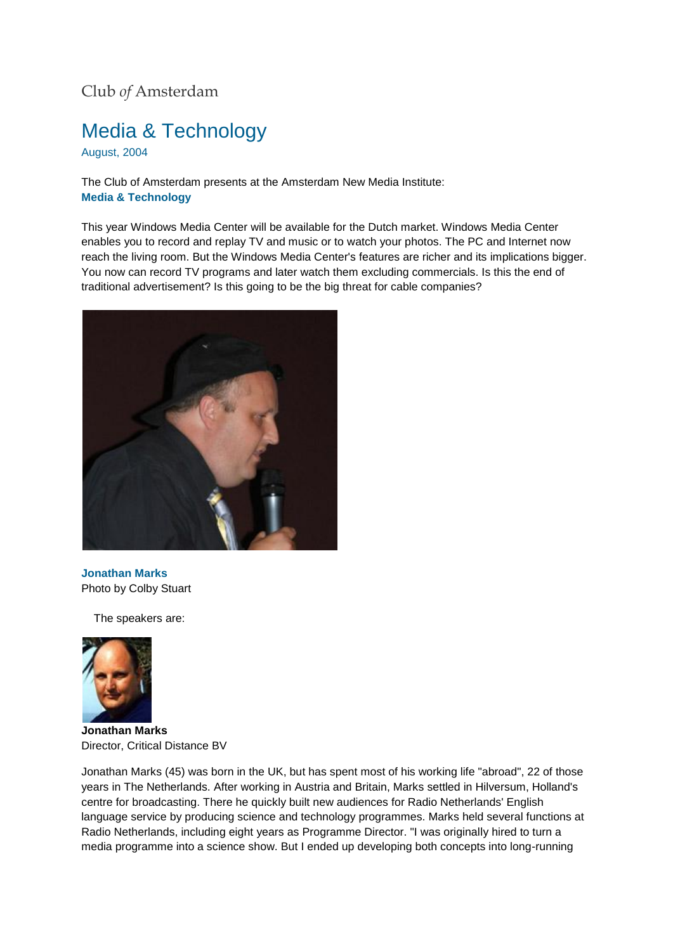## Club *of* Amsterdam

## Media & Technology

August, 2004

The Club of Amsterdam presents at the Amsterdam New Media Institute: **Media & Technology** 

This year Windows Media Center will be available for the Dutch market. Windows Media Center enables you to record and replay TV and music or to watch your photos. The PC and Internet now reach the living room. But the Windows Media Center's features are richer and its implications bigger. You now can record TV programs and later watch them excluding commercials. Is this the end of traditional advertisement? Is this going to be the big threat for cable companies?



**Jonathan Marks** Photo by Colby Stuart

The speakers are:



**Jonathan Marks** Director, Critical Distance BV

Jonathan Marks (45) was born in the UK, but has spent most of his working life "abroad", 22 of those years in The Netherlands. After working in Austria and Britain, Marks settled in Hilversum, Holland's centre for broadcasting. There he quickly built new audiences for Radio Netherlands' English language service by producing science and technology programmes. Marks held several functions at Radio Netherlands, including eight years as Programme Director. "I was originally hired to turn a media programme into a science show. But I ended up developing both concepts into long-running